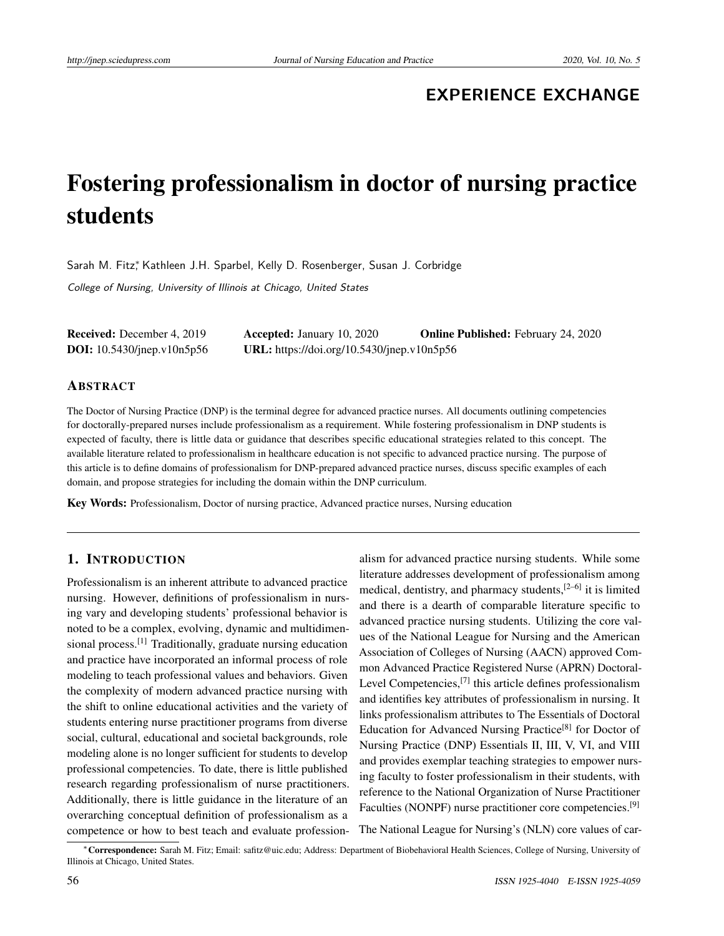# **EXPERIENCE EXCHANGE**

# Fostering professionalism in doctor of nursing practice students

Sarah M. Fitz<sup>∗</sup> , Kathleen J.H. Sparbel, Kelly D. Rosenberger, Susan J. Corbridge

College of Nursing, University of Illinois at Chicago, United States

| <b>Received:</b> December 4, 2019    | <b>Accepted:</b> January 10, 2020          | <b>Online Published:</b> February 24, 2020 |
|--------------------------------------|--------------------------------------------|--------------------------------------------|
| <b>DOI:</b> $10.5430$ /jnep.v10n5p56 | URL: https://doi.org/10.5430/jnep.v10n5p56 |                                            |

#### ABSTRACT

The Doctor of Nursing Practice (DNP) is the terminal degree for advanced practice nurses. All documents outlining competencies for doctorally-prepared nurses include professionalism as a requirement. While fostering professionalism in DNP students is expected of faculty, there is little data or guidance that describes specific educational strategies related to this concept. The available literature related to professionalism in healthcare education is not specific to advanced practice nursing. The purpose of this article is to define domains of professionalism for DNP-prepared advanced practice nurses, discuss specific examples of each domain, and propose strategies for including the domain within the DNP curriculum.

Key Words: Professionalism, Doctor of nursing practice, Advanced practice nurses, Nursing education

### 1. INTRODUCTION

Professionalism is an inherent attribute to advanced practice nursing. However, definitions of professionalism in nursing vary and developing students' professional behavior is noted to be a complex, evolving, dynamic and multidimen-sional process.<sup>[\[1\]](#page-6-0)</sup> Traditionally, graduate nursing education and practice have incorporated an informal process of role modeling to teach professional values and behaviors. Given the complexity of modern advanced practice nursing with the shift to online educational activities and the variety of students entering nurse practitioner programs from diverse social, cultural, educational and societal backgrounds, role modeling alone is no longer sufficient for students to develop professional competencies. To date, there is little published research regarding professionalism of nurse practitioners. Additionally, there is little guidance in the literature of an overarching conceptual definition of professionalism as a competence or how to best teach and evaluate professionalism for advanced practice nursing students. While some literature addresses development of professionalism among medical, dentistry, and pharmacy students,<sup>[2-[6\]](#page-6-2)</sup> it is limited and there is a dearth of comparable literature specific to advanced practice nursing students. Utilizing the core values of the National League for Nursing and the American Association of Colleges of Nursing (AACN) approved Common Advanced Practice Registered Nurse (APRN) Doctoral-Level Competencies,<sup>[\[7\]](#page-6-3)</sup> this article defines professionalism and identifies key attributes of professionalism in nursing. It links professionalism attributes to The Essentials of Doctoral Education for Advanced Nursing Practice<sup>[\[8\]](#page-6-4)</sup> for Doctor of Nursing Practice (DNP) Essentials II, III, V, VI, and VIII and provides exemplar teaching strategies to empower nursing faculty to foster professionalism in their students, with reference to the National Organization of Nurse Practitioner Faculties (NONPF) nurse practitioner core competencies.<sup>[\[9\]](#page-6-5)</sup>

The National League for Nursing's (NLN) core values of car-

<sup>∗</sup>Correspondence: Sarah M. Fitz; Email: safitz@uic.edu; Address: Department of Biobehavioral Health Sciences, College of Nursing, University of Illinois at Chicago, United States.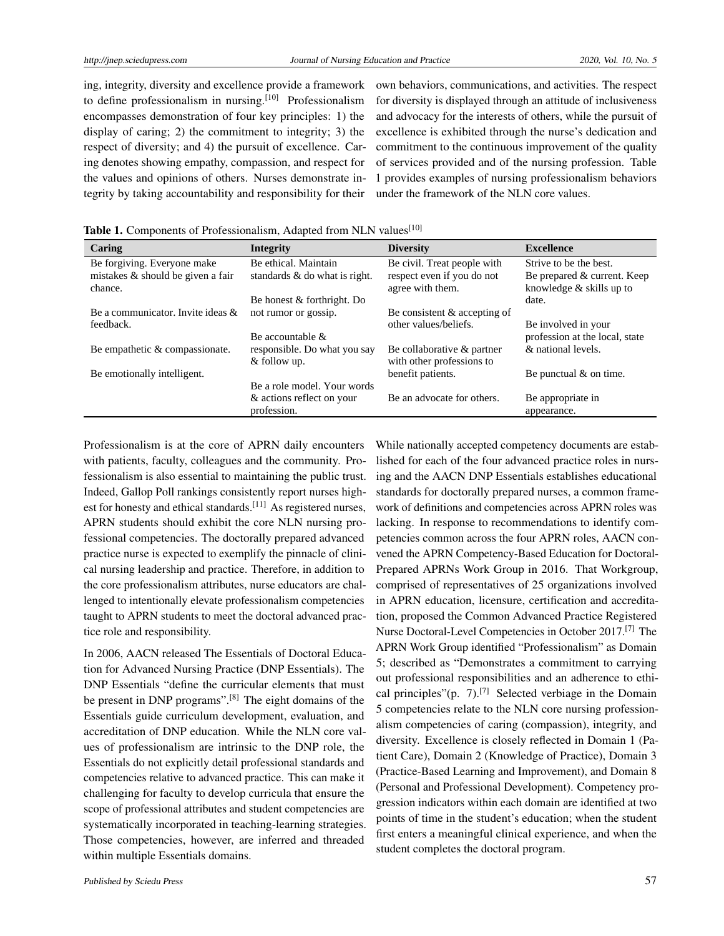ing, integrity, diversity and excellence provide a framework to define professionalism in nursing.<sup>[\[10\]](#page-6-6)</sup> Professionalism encompasses demonstration of four key principles: 1) the display of caring; 2) the commitment to integrity; 3) the respect of diversity; and 4) the pursuit of excellence. Caring denotes showing empathy, compassion, and respect for the values and opinions of others. Nurses demonstrate integrity by taking accountability and responsibility for their own behaviors, communications, and activities. The respect for diversity is displayed through an attitude of inclusiveness and advocacy for the interests of others, while the pursuit of excellence is exhibited through the nurse's dedication and commitment to the continuous improvement of the quality of services provided and of the nursing profession. Table 1 provides examples of nursing professionalism behaviors under the framework of the NLN core values.

Table 1. Components of Professionalism, Adapted from NLN values<sup>[\[10\]](#page-6-6)</sup>

| Caring                               | <b>Integrity</b>                 | <b>Diversity</b>                | <b>Excellence</b>              |
|--------------------------------------|----------------------------------|---------------------------------|--------------------------------|
| Be forgiving. Everyone make          | Be ethical. Maintain             | Be civil. Treat people with     | Strive to be the best.         |
| mistakes & should be given a fair    | standards $\&$ do what is right. | respect even if you do not      | Be prepared & current. Keep    |
| chance.                              |                                  | agree with them.                | knowledge & skills up to       |
|                                      | Be honest & forthright. Do       |                                 | date.                          |
| Be a communicator. Invite ideas $\&$ | not rumor or gossip.             | Be consistent $\&$ accepting of |                                |
| feedback.                            |                                  | other values/beliefs.           | Be involved in your            |
|                                      | Be accountable $\&$              |                                 | profession at the local, state |
| Be empathetic & compassionate.       | responsible. Do what you say     | Be collaborative & partner      | & national levels.             |
|                                      | & follow up.                     | with other professions to       |                                |
| Be emotionally intelligent.          |                                  | benefit patients.               | Be punctual $&$ on time.       |
|                                      | Be a role model. Your words      |                                 |                                |
|                                      | & actions reflect on your        | Be an advocate for others.      | Be appropriate in              |
|                                      | profession.                      |                                 | appearance.                    |

Professionalism is at the core of APRN daily encounters with patients, faculty, colleagues and the community. Professionalism is also essential to maintaining the public trust. Indeed, Gallop Poll rankings consistently report nurses high-est for honesty and ethical standards.<sup>[\[11\]](#page-6-7)</sup> As registered nurses, APRN students should exhibit the core NLN nursing professional competencies. The doctorally prepared advanced practice nurse is expected to exemplify the pinnacle of clinical nursing leadership and practice. Therefore, in addition to the core professionalism attributes, nurse educators are challenged to intentionally elevate professionalism competencies taught to APRN students to meet the doctoral advanced practice role and responsibility.

In 2006, AACN released The Essentials of Doctoral Education for Advanced Nursing Practice (DNP Essentials). The DNP Essentials "define the curricular elements that must be present in DNP programs".[\[8\]](#page-6-4) The eight domains of the Essentials guide curriculum development, evaluation, and accreditation of DNP education. While the NLN core values of professionalism are intrinsic to the DNP role, the Essentials do not explicitly detail professional standards and competencies relative to advanced practice. This can make it challenging for faculty to develop curricula that ensure the scope of professional attributes and student competencies are systematically incorporated in teaching-learning strategies. Those competencies, however, are inferred and threaded within multiple Essentials domains.

While nationally accepted competency documents are established for each of the four advanced practice roles in nursing and the AACN DNP Essentials establishes educational standards for doctorally prepared nurses, a common framework of definitions and competencies across APRN roles was lacking. In response to recommendations to identify competencies common across the four APRN roles, AACN convened the APRN Competency-Based Education for Doctoral-Prepared APRNs Work Group in 2016. That Workgroup, comprised of representatives of 25 organizations involved in APRN education, licensure, certification and accreditation, proposed the Common Advanced Practice Registered Nurse Doctoral-Level Competencies in October 2017.[\[7\]](#page-6-3) The APRN Work Group identified "Professionalism" as Domain 5; described as "Demonstrates a commitment to carrying out professional responsibilities and an adherence to ethical principles" $(p, 7)$ .<sup>[\[7\]](#page-6-3)</sup> Selected verbiage in the Domain 5 competencies relate to the NLN core nursing professionalism competencies of caring (compassion), integrity, and diversity. Excellence is closely reflected in Domain 1 (Patient Care), Domain 2 (Knowledge of Practice), Domain 3 (Practice-Based Learning and Improvement), and Domain 8 (Personal and Professional Development). Competency progression indicators within each domain are identified at two points of time in the student's education; when the student first enters a meaningful clinical experience, and when the student completes the doctoral program.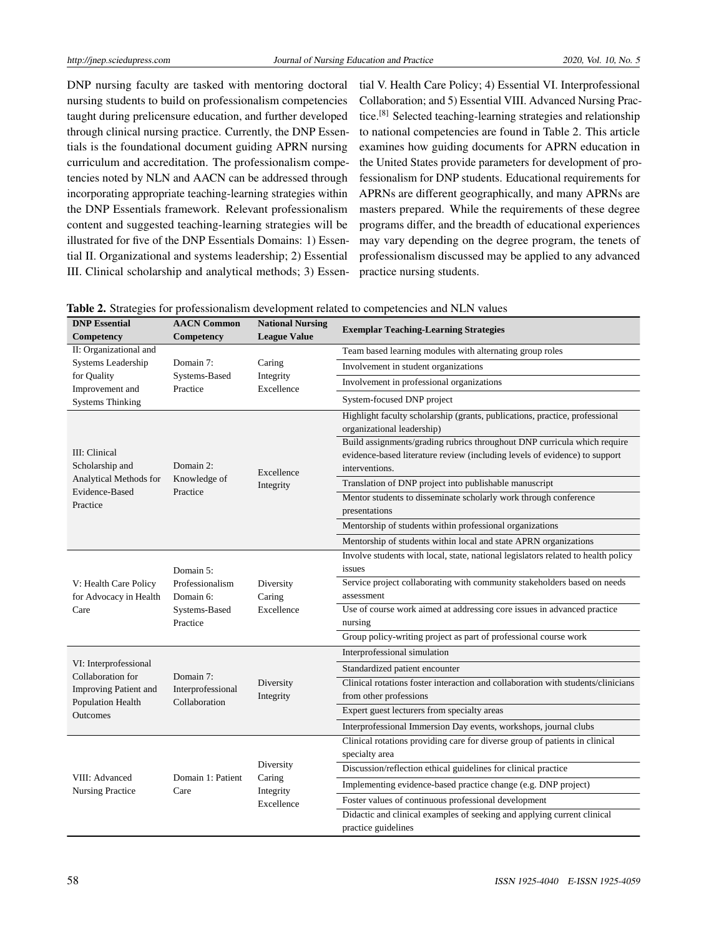DNP nursing faculty are tasked with mentoring doctoral nursing students to build on professionalism competencies taught during prelicensure education, and further developed through clinical nursing practice. Currently, the DNP Essentials is the foundational document guiding APRN nursing curriculum and accreditation. The professionalism competencies noted by NLN and AACN can be addressed through incorporating appropriate teaching-learning strategies within the DNP Essentials framework. Relevant professionalism content and suggested teaching-learning strategies will be illustrated for five of the DNP Essentials Domains: 1) Essential II. Organizational and systems leadership; 2) Essential III. Clinical scholarship and analytical methods; 3) Essential V. Health Care Policy; 4) Essential VI. Interprofessional Collaboration; and 5) Essential VIII. Advanced Nursing Practice.[\[8\]](#page-6-4) Selected teaching-learning strategies and relationship to national competencies are found in Table 2. This article examines how guiding documents for APRN education in the United States provide parameters for development of professionalism for DNP students. Educational requirements for APRNs are different geographically, and many APRNs are masters prepared. While the requirements of these degree programs differ, and the breadth of educational experiences may vary depending on the degree program, the tenets of professionalism discussed may be applied to any advanced practice nursing students.

| Table 2. Strategies for professionalism development related to competencies and NLN values |
|--------------------------------------------------------------------------------------------|
|--------------------------------------------------------------------------------------------|

| <b>DNP Essential</b><br>Competency                                                                   | <b>AACN Common</b><br>Competency                                       | <b>National Nursing</b><br><b>League Value</b> | <b>Exemplar Teaching-Learning Strategies</b>                                                                                                                                                                                                                                          |
|------------------------------------------------------------------------------------------------------|------------------------------------------------------------------------|------------------------------------------------|---------------------------------------------------------------------------------------------------------------------------------------------------------------------------------------------------------------------------------------------------------------------------------------|
| II: Organizational and                                                                               |                                                                        |                                                | Team based learning modules with alternating group roles                                                                                                                                                                                                                              |
| Systems Leadership                                                                                   | Domain 7:                                                              | Caring                                         | Involvement in student organizations                                                                                                                                                                                                                                                  |
| for Quality                                                                                          | Systems-Based                                                          | Integrity                                      | Involvement in professional organizations                                                                                                                                                                                                                                             |
| Improvement and<br><b>Systems Thinking</b>                                                           | Practice                                                               | Excellence                                     | System-focused DNP project                                                                                                                                                                                                                                                            |
| III: Clinical<br>Scholarship and                                                                     | Domain 2:<br>Knowledge of<br>Practice                                  | Excellence<br>Integrity                        | Highlight faculty scholarship (grants, publications, practice, professional<br>organizational leadership)<br>Build assignments/grading rubrics throughout DNP curricula which require<br>evidence-based literature review (including levels of evidence) to support<br>interventions. |
| Analytical Methods for                                                                               |                                                                        |                                                | Translation of DNP project into publishable manuscript                                                                                                                                                                                                                                |
| Evidence-Based<br>Practice                                                                           |                                                                        |                                                | Mentor students to disseminate scholarly work through conference<br>presentations                                                                                                                                                                                                     |
|                                                                                                      |                                                                        |                                                | Mentorship of students within professional organizations                                                                                                                                                                                                                              |
|                                                                                                      |                                                                        |                                                | Mentorship of students within local and state APRN organizations                                                                                                                                                                                                                      |
| V: Health Care Policy<br>for Advocacy in Health<br>Care                                              | Domain 5:<br>Professionalism<br>Domain 6:<br>Systems-Based<br>Practice | Diversity<br>Caring<br>Excellence              | Involve students with local, state, national legislators related to health policy<br>issues                                                                                                                                                                                           |
|                                                                                                      |                                                                        |                                                | Service project collaborating with community stakeholders based on needs<br>assessment                                                                                                                                                                                                |
|                                                                                                      |                                                                        |                                                | Use of course work aimed at addressing core issues in advanced practice<br>nursing                                                                                                                                                                                                    |
|                                                                                                      |                                                                        |                                                | Group policy-writing project as part of professional course work                                                                                                                                                                                                                      |
| VI: Interprofessional<br>Collaboration for<br>Improving Patient and<br>Population Health<br>Outcomes | Domain 7:<br>Interprofessional<br>Collaboration                        | Diversity<br>Integrity                         | Interprofessional simulation                                                                                                                                                                                                                                                          |
|                                                                                                      |                                                                        |                                                | Standardized patient encounter                                                                                                                                                                                                                                                        |
|                                                                                                      |                                                                        |                                                | Clinical rotations foster interaction and collaboration with students/clinicians                                                                                                                                                                                                      |
|                                                                                                      |                                                                        |                                                | from other professions                                                                                                                                                                                                                                                                |
|                                                                                                      |                                                                        |                                                | Expert guest lecturers from specialty areas                                                                                                                                                                                                                                           |
|                                                                                                      |                                                                        |                                                | Interprofessional Immersion Day events, workshops, journal clubs                                                                                                                                                                                                                      |
| VIII: Advanced<br><b>Nursing Practice</b>                                                            | Domain 1: Patient<br>Care                                              | Diversity<br>Caring<br>Integrity<br>Excellence | Clinical rotations providing care for diverse group of patients in clinical<br>specialty area                                                                                                                                                                                         |
|                                                                                                      |                                                                        |                                                | Discussion/reflection ethical guidelines for clinical practice                                                                                                                                                                                                                        |
|                                                                                                      |                                                                        |                                                | Implementing evidence-based practice change (e.g. DNP project)                                                                                                                                                                                                                        |
|                                                                                                      |                                                                        |                                                | Foster values of continuous professional development                                                                                                                                                                                                                                  |
|                                                                                                      |                                                                        |                                                | Didactic and clinical examples of seeking and applying current clinical<br>practice guidelines                                                                                                                                                                                        |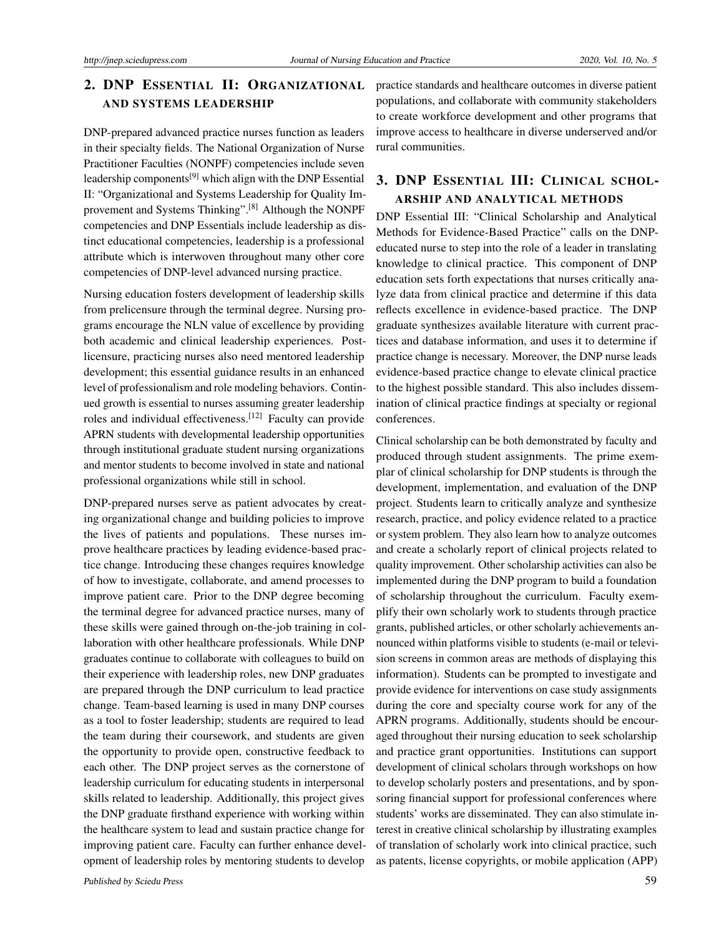# 2. DNP ESSENTIAL II: ORGANIZATIONAL AND SYSTEMS LEADERSHIP

DNP-prepared advanced practice nurses function as leaders in their specialty fields. The National Organization of Nurse Practitioner Faculties (NONPF) competencies include seven leadership components[\[9\]](#page-6-5) which align with the DNP Essential II: "Organizational and Systems Leadership for Quality Improvement and Systems Thinking".[\[8\]](#page-6-4) Although the NONPF competencies and DNP Essentials include leadership as distinct educational competencies, leadership is a professional attribute which is interwoven throughout many other core competencies of DNP-level advanced nursing practice.

Nursing education fosters development of leadership skills from prelicensure through the terminal degree. Nursing programs encourage the NLN value of excellence by providing both academic and clinical leadership experiences. Postlicensure, practicing nurses also need mentored leadership development; this essential guidance results in an enhanced level of professionalism and role modeling behaviors. Continued growth is essential to nurses assuming greater leadership roles and individual effectiveness.[\[12\]](#page-6-8) Faculty can provide APRN students with developmental leadership opportunities through institutional graduate student nursing organizations and mentor students to become involved in state and national professional organizations while still in school.

DNP-prepared nurses serve as patient advocates by creating organizational change and building policies to improve the lives of patients and populations. These nurses improve healthcare practices by leading evidence-based practice change. Introducing these changes requires knowledge of how to investigate, collaborate, and amend processes to improve patient care. Prior to the DNP degree becoming the terminal degree for advanced practice nurses, many of these skills were gained through on-the-job training in collaboration with other healthcare professionals. While DNP graduates continue to collaborate with colleagues to build on their experience with leadership roles, new DNP graduates are prepared through the DNP curriculum to lead practice change. Team-based learning is used in many DNP courses as a tool to foster leadership; students are required to lead the team during their coursework, and students are given the opportunity to provide open, constructive feedback to each other. The DNP project serves as the cornerstone of leadership curriculum for educating students in interpersonal skills related to leadership. Additionally, this project gives the DNP graduate firsthand experience with working within the healthcare system to lead and sustain practice change for improving patient care. Faculty can further enhance development of leadership roles by mentoring students to develop

practice standards and healthcare outcomes in diverse patient populations, and collaborate with community stakeholders to create workforce development and other programs that improve access to healthcare in diverse underserved and/or rural communities.

## 3. DNP ESSENTIAL III: CLINICAL SCHOL-ARSHIP AND ANALYTICAL METHODS

DNP Essential III: "Clinical Scholarship and Analytical Methods for Evidence-Based Practice" calls on the DNPeducated nurse to step into the role of a leader in translating knowledge to clinical practice. This component of DNP education sets forth expectations that nurses critically analyze data from clinical practice and determine if this data reflects excellence in evidence-based practice. The DNP graduate synthesizes available literature with current practices and database information, and uses it to determine if practice change is necessary. Moreover, the DNP nurse leads evidence-based practice change to elevate clinical practice to the highest possible standard. This also includes dissemination of clinical practice findings at specialty or regional conferences.

Clinical scholarship can be both demonstrated by faculty and produced through student assignments. The prime exemplar of clinical scholarship for DNP students is through the development, implementation, and evaluation of the DNP project. Students learn to critically analyze and synthesize research, practice, and policy evidence related to a practice or system problem. They also learn how to analyze outcomes and create a scholarly report of clinical projects related to quality improvement. Other scholarship activities can also be implemented during the DNP program to build a foundation of scholarship throughout the curriculum. Faculty exemplify their own scholarly work to students through practice grants, published articles, or other scholarly achievements announced within platforms visible to students (e-mail or television screens in common areas are methods of displaying this information). Students can be prompted to investigate and provide evidence for interventions on case study assignments during the core and specialty course work for any of the APRN programs. Additionally, students should be encouraged throughout their nursing education to seek scholarship and practice grant opportunities. Institutions can support development of clinical scholars through workshops on how to develop scholarly posters and presentations, and by sponsoring financial support for professional conferences where students' works are disseminated. They can also stimulate interest in creative clinical scholarship by illustrating examples of translation of scholarly work into clinical practice, such as patents, license copyrights, or mobile application (APP)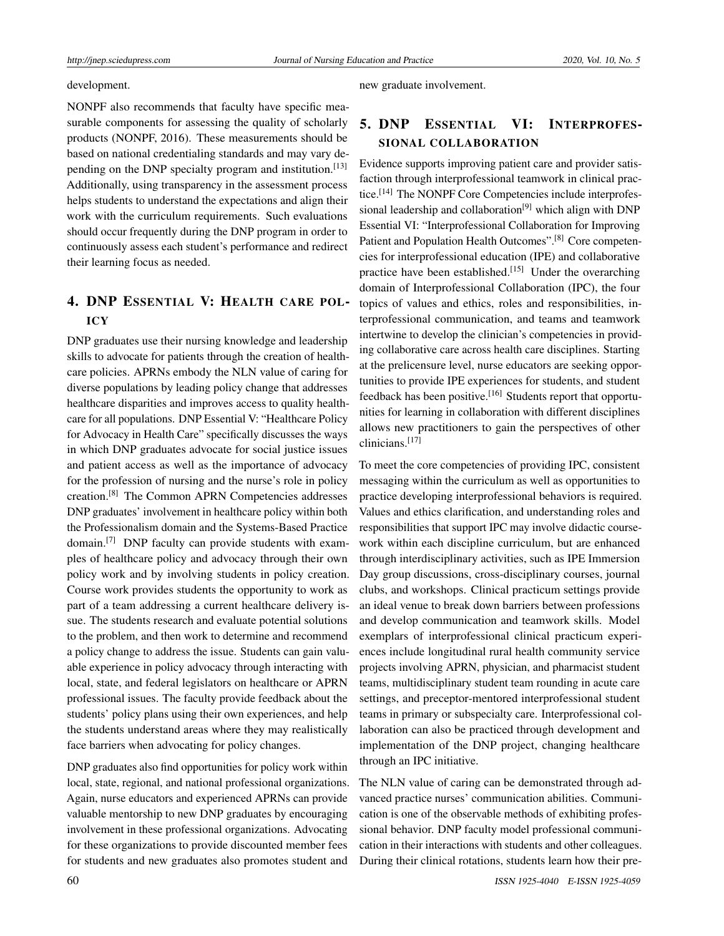#### development.

NONPF also recommends that faculty have specific measurable components for assessing the quality of scholarly products (NONPF, 2016). These measurements should be based on national credentialing standards and may vary de-pending on the DNP specialty program and institution.<sup>[\[13\]](#page-6-9)</sup> Additionally, using transparency in the assessment process helps students to understand the expectations and align their work with the curriculum requirements. Such evaluations should occur frequently during the DNP program in order to continuously assess each student's performance and redirect their learning focus as needed.

## 4. DNP ESSENTIAL V: HEALTH CARE POL-**ICY**

DNP graduates use their nursing knowledge and leadership skills to advocate for patients through the creation of healthcare policies. APRNs embody the NLN value of caring for diverse populations by leading policy change that addresses healthcare disparities and improves access to quality healthcare for all populations. DNP Essential V: "Healthcare Policy for Advocacy in Health Care" specifically discusses the ways in which DNP graduates advocate for social justice issues and patient access as well as the importance of advocacy for the profession of nursing and the nurse's role in policy creation.[\[8\]](#page-6-4) The Common APRN Competencies addresses DNP graduates' involvement in healthcare policy within both the Professionalism domain and the Systems-Based Practice domain.[\[7\]](#page-6-3) DNP faculty can provide students with examples of healthcare policy and advocacy through their own policy work and by involving students in policy creation. Course work provides students the opportunity to work as part of a team addressing a current healthcare delivery issue. The students research and evaluate potential solutions to the problem, and then work to determine and recommend a policy change to address the issue. Students can gain valuable experience in policy advocacy through interacting with local, state, and federal legislators on healthcare or APRN professional issues. The faculty provide feedback about the students' policy plans using their own experiences, and help the students understand areas where they may realistically face barriers when advocating for policy changes.

DNP graduates also find opportunities for policy work within local, state, regional, and national professional organizations. Again, nurse educators and experienced APRNs can provide valuable mentorship to new DNP graduates by encouraging involvement in these professional organizations. Advocating for these organizations to provide discounted member fees for students and new graduates also promotes student and

new graduate involvement.

# 5. DNP ESSENTIAL VI: INTERPROFES-SIONAL COLLABORATION

Evidence supports improving patient care and provider satisfaction through interprofessional teamwork in clinical practice.[\[14\]](#page-6-10) The NONPF Core Competencies include interprofes-sional leadership and collaboration<sup>[\[9\]](#page-6-5)</sup> which align with DNP Essential VI: "Interprofessional Collaboration for Improving Patient and Population Health Outcomes".[\[8\]](#page-6-4) Core competencies for interprofessional education (IPE) and collaborative practice have been established.<sup>[\[15\]](#page-6-11)</sup> Under the overarching domain of Interprofessional Collaboration (IPC), the four topics of values and ethics, roles and responsibilities, interprofessional communication, and teams and teamwork intertwine to develop the clinician's competencies in providing collaborative care across health care disciplines. Starting at the prelicensure level, nurse educators are seeking opportunities to provide IPE experiences for students, and student feedback has been positive.<sup>[\[16\]](#page-6-12)</sup> Students report that opportunities for learning in collaboration with different disciplines allows new practitioners to gain the perspectives of other clinicians.[\[17\]](#page-6-13)

To meet the core competencies of providing IPC, consistent messaging within the curriculum as well as opportunities to practice developing interprofessional behaviors is required. Values and ethics clarification, and understanding roles and responsibilities that support IPC may involve didactic coursework within each discipline curriculum, but are enhanced through interdisciplinary activities, such as IPE Immersion Day group discussions, cross-disciplinary courses, journal clubs, and workshops. Clinical practicum settings provide an ideal venue to break down barriers between professions and develop communication and teamwork skills. Model exemplars of interprofessional clinical practicum experiences include longitudinal rural health community service projects involving APRN, physician, and pharmacist student teams, multidisciplinary student team rounding in acute care settings, and preceptor-mentored interprofessional student teams in primary or subspecialty care. Interprofessional collaboration can also be practiced through development and implementation of the DNP project, changing healthcare through an IPC initiative.

The NLN value of caring can be demonstrated through advanced practice nurses' communication abilities. Communication is one of the observable methods of exhibiting professional behavior. DNP faculty model professional communication in their interactions with students and other colleagues. During their clinical rotations, students learn how their pre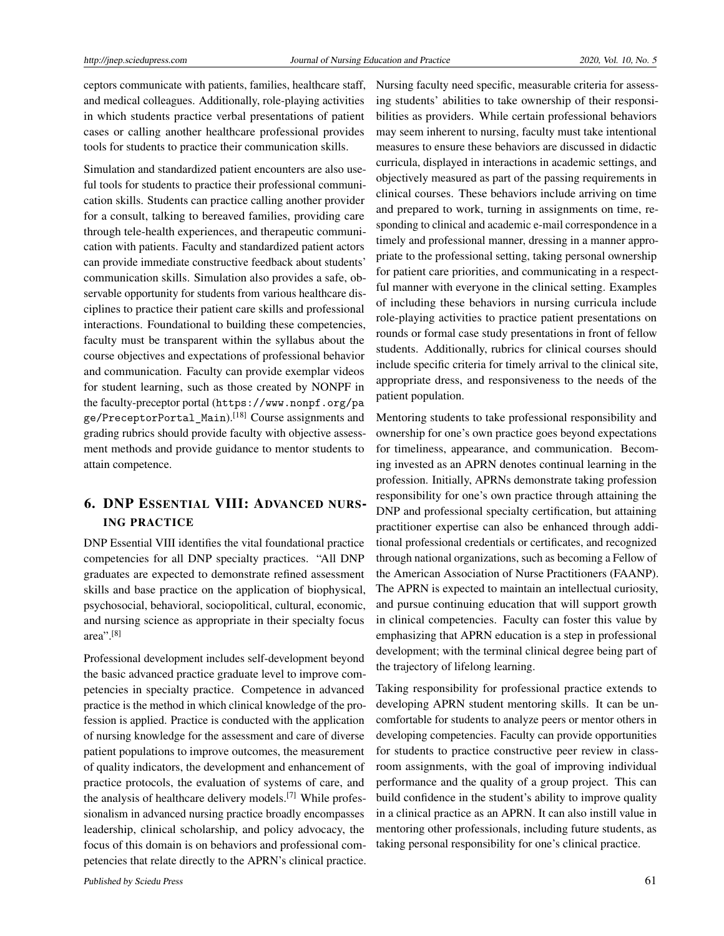ceptors communicate with patients, families, healthcare staff, and medical colleagues. Additionally, role-playing activities in which students practice verbal presentations of patient cases or calling another healthcare professional provides tools for students to practice their communication skills.

Simulation and standardized patient encounters are also useful tools for students to practice their professional communication skills. Students can practice calling another provider for a consult, talking to bereaved families, providing care through tele-health experiences, and therapeutic communication with patients. Faculty and standardized patient actors can provide immediate constructive feedback about students' communication skills. Simulation also provides a safe, observable opportunity for students from various healthcare disciplines to practice their patient care skills and professional interactions. Foundational to building these competencies, faculty must be transparent within the syllabus about the course objectives and expectations of professional behavior and communication. Faculty can provide exemplar videos for student learning, such as those created by NONPF in the faculty-preceptor portal ([https://www.nonpf.org/pa](https://www.nonpf.org/page/PreceptorPortal_Main) [ge/PreceptorPortal\\_Main](https://www.nonpf.org/page/PreceptorPortal_Main)).[\[18\]](#page-6-14) Course assignments and grading rubrics should provide faculty with objective assessment methods and provide guidance to mentor students to attain competence.

# 6. DNP ESSENTIAL VIII: ADVANCED NURS-ING PRACTICE

DNP Essential VIII identifies the vital foundational practice competencies for all DNP specialty practices. "All DNP graduates are expected to demonstrate refined assessment skills and base practice on the application of biophysical, psychosocial, behavioral, sociopolitical, cultural, economic, and nursing science as appropriate in their specialty focus area".[\[8\]](#page-6-4)

Professional development includes self-development beyond the basic advanced practice graduate level to improve competencies in specialty practice. Competence in advanced practice is the method in which clinical knowledge of the profession is applied. Practice is conducted with the application of nursing knowledge for the assessment and care of diverse patient populations to improve outcomes, the measurement of quality indicators, the development and enhancement of practice protocols, the evaluation of systems of care, and the analysis of healthcare delivery models.[\[7\]](#page-6-3) While professionalism in advanced nursing practice broadly encompasses leadership, clinical scholarship, and policy advocacy, the focus of this domain is on behaviors and professional competencies that relate directly to the APRN's clinical practice. Nursing faculty need specific, measurable criteria for assessing students' abilities to take ownership of their responsibilities as providers. While certain professional behaviors may seem inherent to nursing, faculty must take intentional measures to ensure these behaviors are discussed in didactic curricula, displayed in interactions in academic settings, and objectively measured as part of the passing requirements in clinical courses. These behaviors include arriving on time and prepared to work, turning in assignments on time, responding to clinical and academic e-mail correspondence in a timely and professional manner, dressing in a manner appropriate to the professional setting, taking personal ownership for patient care priorities, and communicating in a respectful manner with everyone in the clinical setting. Examples of including these behaviors in nursing curricula include role-playing activities to practice patient presentations on rounds or formal case study presentations in front of fellow students. Additionally, rubrics for clinical courses should include specific criteria for timely arrival to the clinical site, appropriate dress, and responsiveness to the needs of the patient population.

Mentoring students to take professional responsibility and ownership for one's own practice goes beyond expectations for timeliness, appearance, and communication. Becoming invested as an APRN denotes continual learning in the profession. Initially, APRNs demonstrate taking profession responsibility for one's own practice through attaining the DNP and professional specialty certification, but attaining practitioner expertise can also be enhanced through additional professional credentials or certificates, and recognized through national organizations, such as becoming a Fellow of the American Association of Nurse Practitioners (FAANP). The APRN is expected to maintain an intellectual curiosity, and pursue continuing education that will support growth in clinical competencies. Faculty can foster this value by emphasizing that APRN education is a step in professional development; with the terminal clinical degree being part of the trajectory of lifelong learning.

Taking responsibility for professional practice extends to developing APRN student mentoring skills. It can be uncomfortable for students to analyze peers or mentor others in developing competencies. Faculty can provide opportunities for students to practice constructive peer review in classroom assignments, with the goal of improving individual performance and the quality of a group project. This can build confidence in the student's ability to improve quality in a clinical practice as an APRN. It can also instill value in mentoring other professionals, including future students, as taking personal responsibility for one's clinical practice.